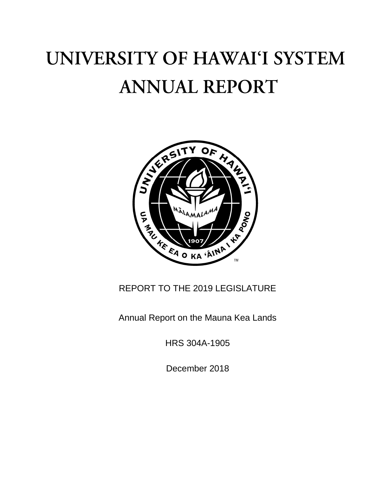# UNIVERSITY OF HAWAI'I SYSTEM **ANNUAL REPORT**



# REPORT TO THE 2019 LEGISLATURE

Annual Report on the Mauna Kea Lands

HRS 304A-1905

December 2018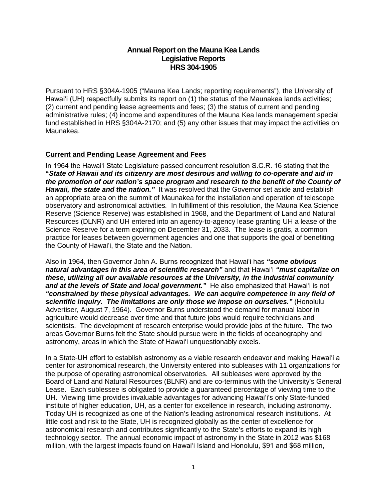# **Annual Report on the Mauna Kea Lands Legislative Reports HRS 304-1905**

Pursuant to HRS §304A-1905 ("Mauna Kea Lands; reporting requirements"), the University of Hawaiʻi (UH) respectfully submits its report on (1) the status of the Maunakea lands activities; (2) current and pending lease agreements and fees; (3) the status of current and pending administrative rules; (4) income and expenditures of the Mauna Kea lands management special fund established in HRS §304A-2170; and (5) any other issues that may impact the activities on Maunakea.

## **Current and Pending Lease Agreement and Fees**

In 1964 the Hawaiʻi State Legislature passed concurrent resolution S.C.R. 16 stating that the **"***State of Hawaii and its citizenry are most desirous and willing to co-operate and aid in the promotion of our nation's space program and research to the benefit of the County of Hawaii, the state and the nation."* It was resolved that the Governor set aside and establish an appropriate area on the summit of Maunakea for the installation and operation of telescope observatory and astronomical activities*.* In fulfillment of this resolution, the Mauna Kea Science Reserve (Science Reserve) was established in 1968, and the Department of Land and Natural Resources (DLNR) and UH entered into an agency-to-agency lease granting UH a lease of the Science Reserve for a term expiring on December 31, 2033. The lease is gratis, a common practice for leases between government agencies and one that supports the goal of benefiting the County of Hawaiʻi, the State and the Nation.

Also in 1964, then Governor John A. Burns recognized that Hawaiʻi has *"some obvious natural advantages in this area of scientific research"* and that Hawaiʻi *"must capitalize on these, utilizing all our available resources at the University, in the industrial community and at the levels of State and local government."* He also emphasized that Hawaiʻi is not *"constrained by these physical advantages. We can acquire competence in any field of scientific inquiry. The limitations are only those we impose on ourselves."* (Honolulu Advertiser, August 7, 1964). Governor Burns understood the demand for manual labor in agriculture would decrease over time and that future jobs would require technicians and scientists. The development of research enterprise would provide jobs of the future. The two areas Governor Burns felt the State should pursue were in the fields of oceanography and astronomy, areas in which the State of Hawai'i unquestionably excels.

In a State-UH effort to establish astronomy as a viable research endeavor and making Hawaiʻi a center for astronomical research, the University entered into subleases with 11 organizations for the purpose of operating astronomical observatories. All subleases were approved by the Board of Land and Natural Resources (BLNR) and are co-terminus with the University's General Lease. Each sublessee is obligated to provide a guaranteed percentage of viewing time to the UH. Viewing time provides invaluable advantages for advancing Hawaiʻi's only State-funded institute of higher education, UH, as a center for excellence in research, including astronomy. Today UH is recognized as one of the Nation's leading astronomical research institutions. At little cost and risk to the State, UH is recognized globally as the center of excellence for astronomical research and contributes significantly to the State's efforts to expand its high technology sector. The annual economic impact of astronomy in the State in 2012 was \$168 million, with the largest impacts found on Hawaiʻi Island and Honolulu, \$91 and \$68 million,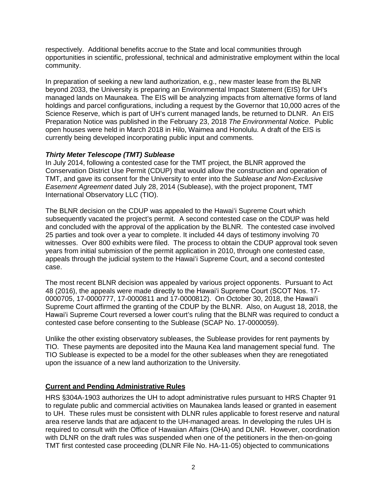respectively. Additional benefits accrue to the State and local communities through opportunities in scientific, professional, technical and administrative employment within the local community.

In preparation of seeking a new land authorization, e.g., new master lease from the BLNR beyond 2033, the University is preparing an Environmental Impact Statement (EIS) for UH's managed lands on Maunakea. The EIS will be analyzing impacts from alternative forms of land holdings and parcel configurations, including a request by the Governor that 10,000 acres of the Science Reserve, which is part of UH's current managed lands, be returned to DLNR. An EIS Preparation Notice was published in the February 23, 2018 *The Environmental Notice*. Public open houses were held in March 2018 in Hilo, Waimea and Honolulu. A draft of the EIS is currently being developed incorporating public input and comments.

## *Thirty Meter Telescope (TMT) Sublease*

In July 2014, following a contested case for the TMT project, the BLNR approved the Conservation District Use Permit (CDUP) that would allow the construction and operation of TMT, and gave its consent for the University to enter into the *Sublease and Non-Exclusive Easement Agreement* dated July 28, 2014 (Sublease), with the project proponent, TMT International Observatory LLC (TIO).

The BLNR decision on the CDUP was appealed to the Hawaiʻi Supreme Court which subsequently vacated the project's permit. A second contested case on the CDUP was held and concluded with the approval of the application by the BLNR. The contested case involved 25 parties and took over a year to complete. It included 44 days of testimony involving 70 witnesses. Over 800 exhibits were filed. The process to obtain the CDUP approval took seven years from initial submission of the permit application in 2010, through one contested case, appeals through the judicial system to the Hawaiʻi Supreme Court, and a second contested case.

The most recent BLNR decision was appealed by various project opponents. Pursuant to Act 48 (2016), the appeals were made directly to the Hawaiʻi Supreme Court (SCOT Nos. 17- 0000705, 17-0000777, 17-0000811 and 17-0000812). On October 30, 2018, the Hawaiʻi Supreme Court affirmed the granting of the CDUP by the BLNR. Also, on August 18, 2018, the Hawaiʻi Supreme Court reversed a lower court's ruling that the BLNR was required to conduct a contested case before consenting to the Sublease (SCAP No. 17-0000059).

Unlike the other existing observatory subleases, the Sublease provides for rent payments by TIO. These payments are deposited into the Mauna Kea land management special fund. The TIO Sublease is expected to be a model for the other subleases when they are renegotiated upon the issuance of a new land authorization to the University.

#### **Current and Pending Administrative Rules**

HRS §304A-1903 authorizes the UH to adopt administrative rules pursuant to HRS Chapter 91 to regulate public and commercial activities on Maunakea lands leased or granted in easement to UH. These rules must be consistent with DLNR rules applicable to forest reserve and natural area reserve lands that are adjacent to the UH-managed areas. In developing the rules UH is required to consult with the Office of Hawaiian Affairs (OHA) and DLNR. However, coordination with DLNR on the draft rules was suspended when one of the petitioners in the then-on-going TMT first contested case proceeding (DLNR File No. HA-11-05) objected to communications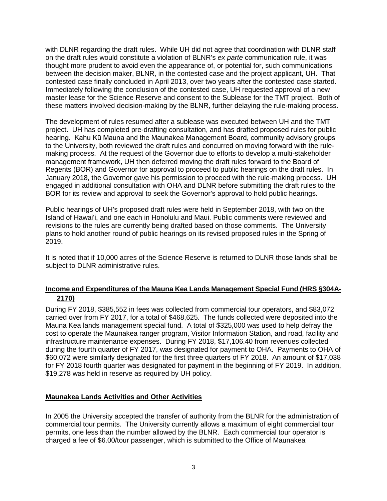with DLNR regarding the draft rules. While UH did not agree that coordination with DLNR staff on the draft rules would constitute a violation of BLNR's *ex parte* communication rule, it was thought more prudent to avoid even the appearance of, or potential for, such communications between the decision maker, BLNR, in the contested case and the project applicant, UH. That contested case finally concluded in April 2013, over two years after the contested case started. Immediately following the conclusion of the contested case, UH requested approval of a new master lease for the Science Reserve and consent to the Sublease for the TMT project. Both of these matters involved decision-making by the BLNR, further delaying the rule-making process.

The development of rules resumed after a sublease was executed between UH and the TMT project. UH has completed pre-drafting consultation, and has drafted proposed rules for public hearing. Kahu Kū Mauna and the Maunakea Management Board, community advisory groups to the University, both reviewed the draft rules and concurred on moving forward with the rulemaking process. At the request of the Governor due to efforts to develop a multi-stakeholder management framework, UH then deferred moving the draft rules forward to the Board of Regents (BOR) and Governor for approval to proceed to public hearings on the draft rules. In January 2018, the Governor gave his permission to proceed with the rule-making process. UH engaged in additional consultation with OHA and DLNR before submitting the draft rules to the BOR for its review and approval to seek the Governor's approval to hold public hearings.

Public hearings of UH's proposed draft rules were held in September 2018, with two on the Island of Hawaiʻi, and one each in Honolulu and Maui. Public comments were reviewed and revisions to the rules are currently being drafted based on those comments. The University plans to hold another round of public hearings on its revised proposed rules in the Spring of 2019.

It is noted that if 10,000 acres of the Science Reserve is returned to DLNR those lands shall be subject to DLNR administrative rules.

# **Income and Expenditures of the Mauna Kea Lands Management Special Fund (HRS §304A-2170)**

During FY 2018, \$385,552 in fees was collected from commercial tour operators, and \$83,072 carried over from FY 2017, for a total of \$468,625. The funds collected were deposited into the Mauna Kea lands management special fund. A total of \$325,000 was used to help defray the cost to operate the Maunakea ranger program, Visitor Information Station, and road, facility and infrastructure maintenance expenses. During FY 2018, \$17,106.40 from revenues collected during the fourth quarter of FY 2017, was designated for payment to OHA. Payments to OHA of \$60,072 were similarly designated for the first three quarters of FY 2018. An amount of \$17,038 for FY 2018 fourth quarter was designated for payment in the beginning of FY 2019. In addition, \$19,278 was held in reserve as required by UH policy.

## **Maunakea Lands Activities and Other Activities**

In 2005 the University accepted the transfer of authority from the BLNR for the administration of commercial tour permits. The University currently allows a maximum of eight commercial tour permits, one less than the number allowed by the BLNR. Each commercial tour operator is charged a fee of \$6.00/tour passenger, which is submitted to the Office of Maunakea